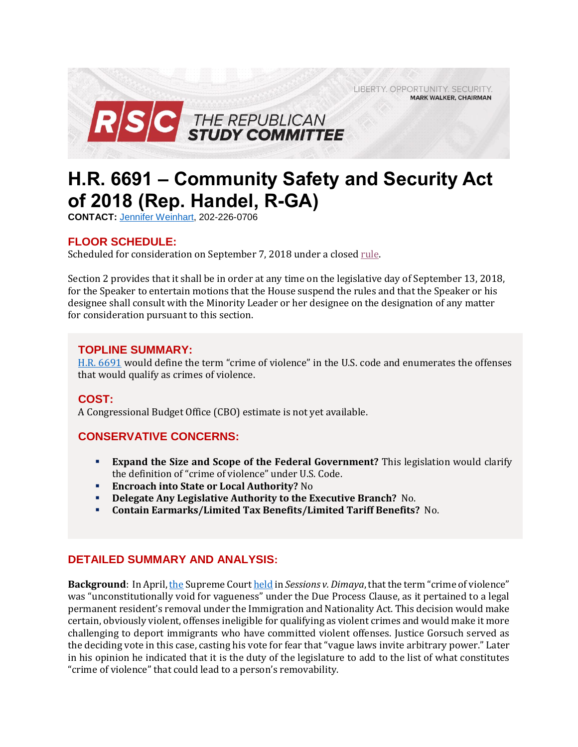LIBERTY. OPPORTUNITY. SECURITY. **MARK WALKER, CHAIRMAN** 



# **H.R. 6691 – Community Safety and Security Act of 2018 (Rep. Handel, R-GA)**

**CONTACT:** [Jennifer Weinhart,](mailto:jennifer.weinhart@mail.house.gov) 202-226-0706

## **FLOOR SCHEDULE:**

Scheduled for consideration on September 7, 2018 under a close[d rule.](https://rules.house.gov/sites/republicans.rules.house.gov/files/Rule_HR6691.pdf)

Section 2 provides that it shall be in order at any time on the legislative day of September 13, 2018, for the Speaker to entertain motions that the House suspend the rules and that the Speaker or his designee shall consult with the Minority Leader or her designee on the designation of any matter for consideration pursuant to this section.

### **TOPLINE SUMMARY:**

[H.R. 6691](https://www.gpo.gov/fdsys/pkg/BILLS-115hr6691ih/pdf/BILLS-115hr6691ih.pdf) would define the term "crime of violence" in the U.S. code and enumerates the offenses that would qualify as crimes of violence.

## **COST:**

A Congressional Budget Office (CBO) estimate is not yet available.

## **CONSERVATIVE CONCERNS:**

- **Expand the Size and Scope of the Federal Government?** This legislation would clarify the definition of "crime of violence" under U.S. Code.
- **Encroach into State or Local Authority?** No
- **Delegate Any Legislative Authority to the Executive Branch?** No.
- **Contain Earmarks/Limited Tax Benefits/Limited Tariff Benefits?** No.

#### **DETAILED SUMMARY AND ANALYSIS:**

**Background**: In April[, the](https://www.jurist.org/news/2018/04/supreme-court-aggravated-felony-in-immigration-and-nationality-act-unconstitutionally-vague/) Supreme Cour[t held](https://www.supremecourt.gov/opinions/17pdf/15-1498_1b8e.pdf) in *Sessions v. Dimaya*, that the term "crime of violence" was "unconstitutionally void for vagueness" under the Due Process Clause, as it pertained to a legal permanent resident's removal under the Immigration and Nationality Act. This decision would make certain, obviously violent, offenses ineligible for qualifying as violent crimes and would make it more challenging to deport immigrants who have committed violent offenses. Justice Gorsuch served as the deciding vote in this case, casting his vote for fear that "vague laws invite arbitrary power." Later in his opinion he indicated that it is the duty of the legislature to add to the list of what constitutes "crime of violence" that could lead to a person's removability.